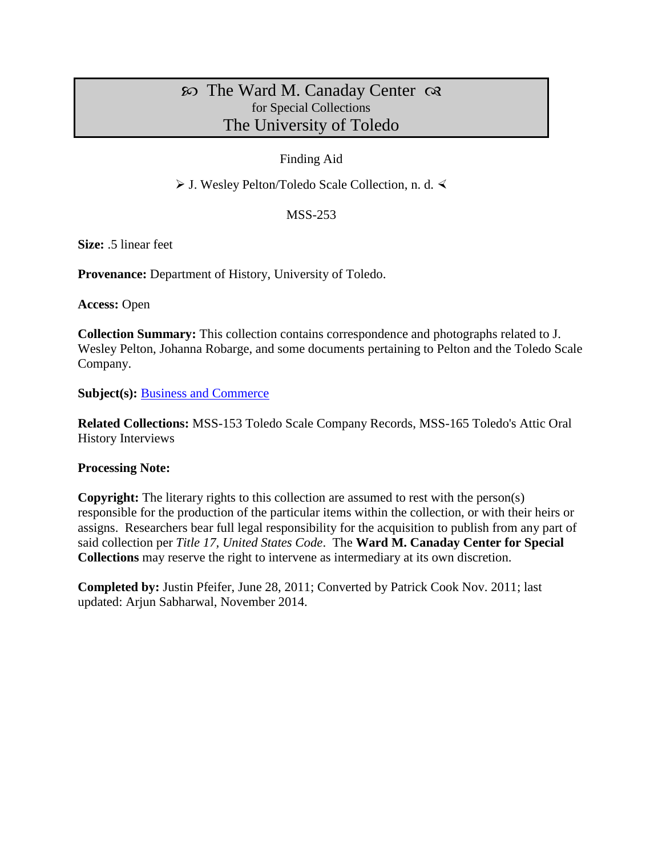# The Ward M. Canaday Center for Special Collections The University of Toledo

### Finding Aid

J. Wesley Pelton/Toledo Scale Collection, n. d.

#### MSS-253

**Size:** .5 linear feet

**Provenance:** Department of History, University of Toledo.

**Access:** Open

**Collection Summary:** This collection contains correspondence and photographs related to J. Wesley Pelton, Johanna Robarge, and some documents pertaining to Pelton and the Toledo Scale Company.

**Subject(s): [Business and Commerce](http://www.utoledo.edu/library/canaday/guidepages/business.html)** 

**Related Collections:** MSS-153 Toledo Scale Company Records, MSS-165 Toledo's Attic Oral History Interviews

#### **Processing Note:**

**Copyright:** The literary rights to this collection are assumed to rest with the person(s) responsible for the production of the particular items within the collection, or with their heirs or assigns. Researchers bear full legal responsibility for the acquisition to publish from any part of said collection per *Title 17, United States Code*. The **Ward M. Canaday Center for Special Collections** may reserve the right to intervene as intermediary at its own discretion.

**Completed by:** Justin Pfeifer, June 28, 2011; Converted by Patrick Cook Nov. 2011; last updated: Arjun Sabharwal, November 2014.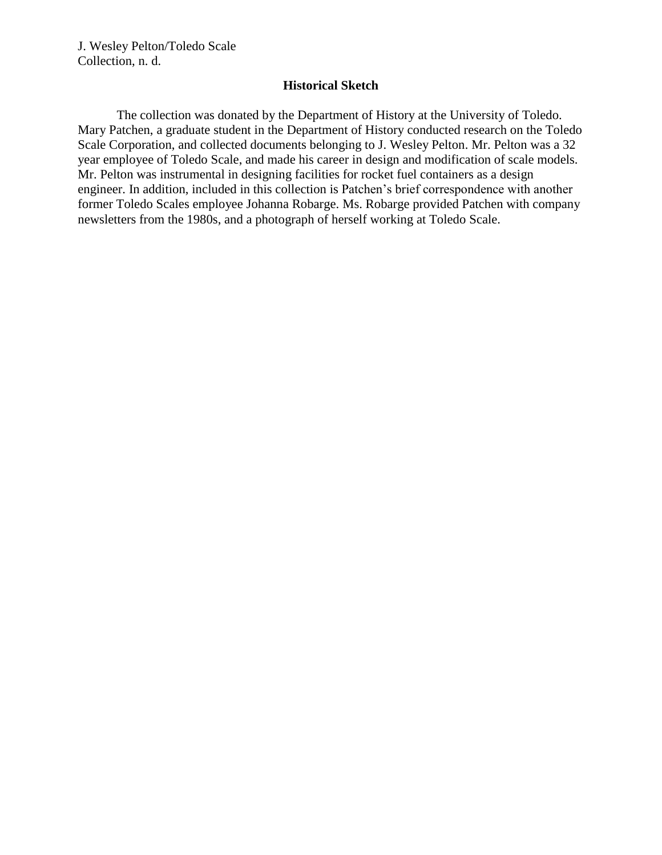#### **Historical Sketch**

The collection was donated by the Department of History at the University of Toledo. Mary Patchen, a graduate student in the Department of History conducted research on the Toledo Scale Corporation, and collected documents belonging to J. Wesley Pelton. Mr. Pelton was a 32 year employee of Toledo Scale, and made his career in design and modification of scale models. Mr. Pelton was instrumental in designing facilities for rocket fuel containers as a design engineer. In addition, included in this collection is Patchen's brief correspondence with another former Toledo Scales employee Johanna Robarge. Ms. Robarge provided Patchen with company newsletters from the 1980s, and a photograph of herself working at Toledo Scale.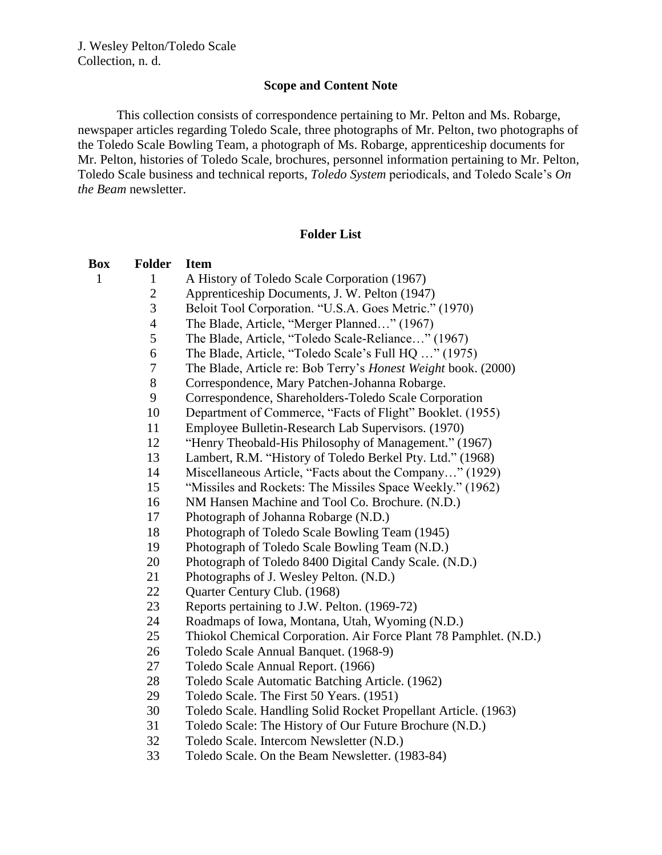#### **Scope and Content Note**

This collection consists of correspondence pertaining to Mr. Pelton and Ms. Robarge, newspaper articles regarding Toledo Scale, three photographs of Mr. Pelton, two photographs of the Toledo Scale Bowling Team, a photograph of Ms. Robarge, apprenticeship documents for Mr. Pelton, histories of Toledo Scale, brochures, personnel information pertaining to Mr. Pelton, Toledo Scale business and technical reports, *Toledo System* periodicals, and Toledo Scale's *On the Beam* newsletter.

### **Folder List**

| Box | <b>Folder</b>  | <b>Item</b>                                                       |
|-----|----------------|-------------------------------------------------------------------|
| 1   | $\mathbf{1}$   | A History of Toledo Scale Corporation (1967)                      |
|     | $\overline{c}$ | Apprenticeship Documents, J. W. Pelton (1947)                     |
|     | 3              | Beloit Tool Corporation. "U.S.A. Goes Metric." (1970)             |
|     | $\overline{4}$ | The Blade, Article, "Merger Planned" (1967)                       |
|     | 5              | The Blade, Article, "Toledo Scale-Reliance" (1967)                |
|     | 6              | The Blade, Article, "Toledo Scale's Full HQ " (1975)              |
|     | 7              | The Blade, Article re: Bob Terry's Honest Weight book. (2000)     |
|     | 8              | Correspondence, Mary Patchen-Johanna Robarge.                     |
|     | 9              | Correspondence, Shareholders-Toledo Scale Corporation             |
|     | 10             | Department of Commerce, "Facts of Flight" Booklet. (1955)         |
|     | 11             | Employee Bulletin-Research Lab Supervisors. (1970)                |
|     | 12             | "Henry Theobald-His Philosophy of Management." (1967)             |
|     | 13             | Lambert, R.M. "History of Toledo Berkel Pty. Ltd." (1968)         |
|     | 14             | Miscellaneous Article, "Facts about the Company" (1929)           |
|     | 15             | "Missiles and Rockets: The Missiles Space Weekly." (1962)         |
|     | 16             | NM Hansen Machine and Tool Co. Brochure. (N.D.)                   |
|     | 17             | Photograph of Johanna Robarge (N.D.)                              |
|     | 18             | Photograph of Toledo Scale Bowling Team (1945)                    |
|     | 19             | Photograph of Toledo Scale Bowling Team (N.D.)                    |
|     | 20             | Photograph of Toledo 8400 Digital Candy Scale. (N.D.)             |
|     | 21             | Photographs of J. Wesley Pelton. (N.D.)                           |
|     | 22             | Quarter Century Club. (1968)                                      |
|     | 23             | Reports pertaining to J.W. Pelton. (1969-72)                      |
|     | 24             | Roadmaps of Iowa, Montana, Utah, Wyoming (N.D.)                   |
|     | 25             | Thiokol Chemical Corporation. Air Force Plant 78 Pamphlet. (N.D.) |
|     | 26             | Toledo Scale Annual Banquet. (1968-9)                             |
|     | 27             | Toledo Scale Annual Report. (1966)                                |
|     | 28             | Toledo Scale Automatic Batching Article. (1962)                   |
|     | 29             | Toledo Scale. The First 50 Years. (1951)                          |
|     | 30             | Toledo Scale. Handling Solid Rocket Propellant Article. (1963)    |
|     | 31             | Toledo Scale: The History of Our Future Brochure (N.D.)           |
|     | 32             | Toledo Scale. Intercom Newsletter (N.D.)                          |
|     | 33             | Toledo Scale. On the Beam Newsletter. (1983-84)                   |